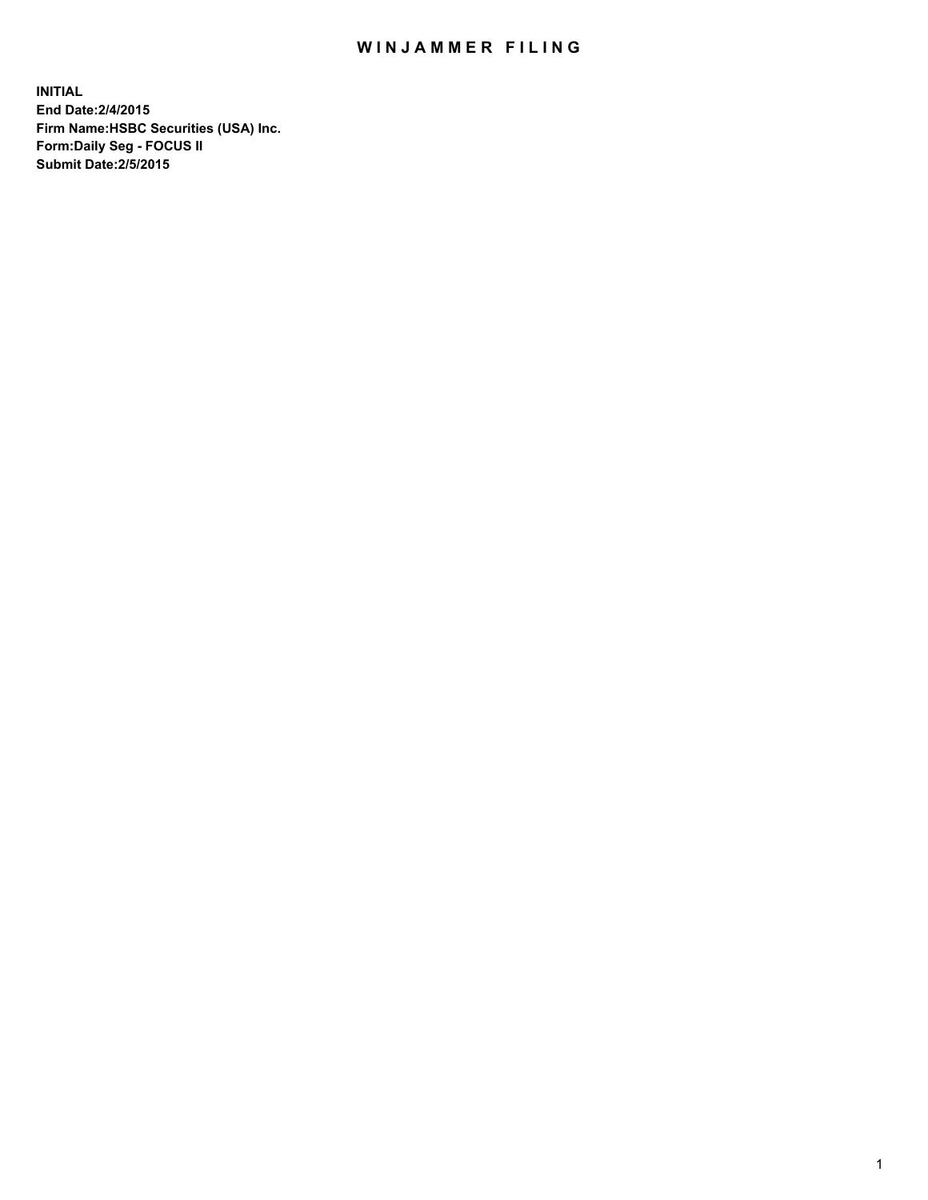## WIN JAMMER FILING

**INITIAL End Date:2/4/2015 Firm Name:HSBC Securities (USA) Inc. Form:Daily Seg - FOCUS II Submit Date:2/5/2015**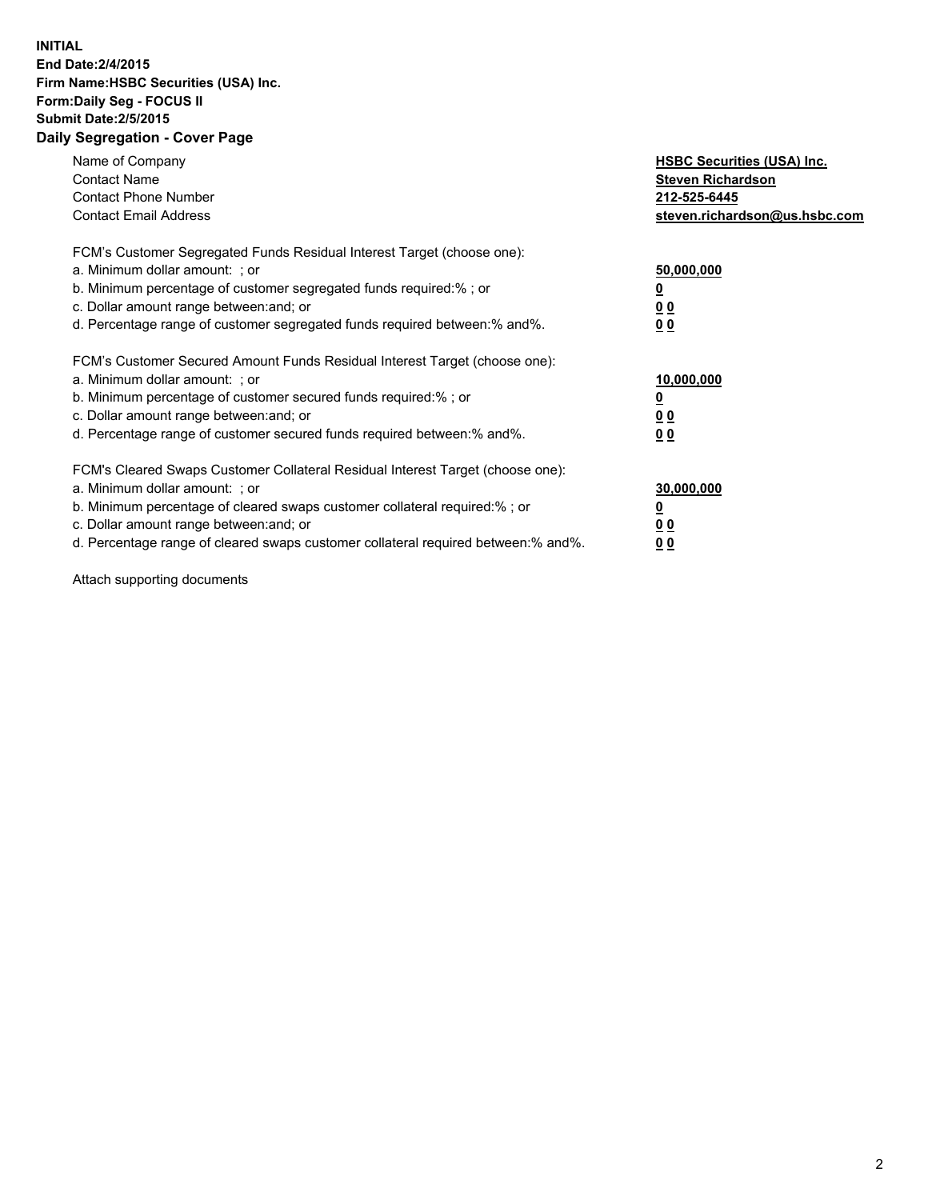## **INITIAL End Date:2/4/2015 Firm Name:HSBC Securities (USA) Inc. Form:Daily Seg - FOCUS II Submit Date:2/5/2015 Daily Segregation - Cover Page**

| Name of Company<br><b>Contact Name</b><br><b>Contact Phone Number</b><br><b>Contact Email Address</b>                                                                                                                                                                                                                          | <b>HSBC Securities (USA) Inc.</b><br><b>Steven Richardson</b><br>212-525-6445<br>steven.richardson@us.hsbc.com |
|--------------------------------------------------------------------------------------------------------------------------------------------------------------------------------------------------------------------------------------------------------------------------------------------------------------------------------|----------------------------------------------------------------------------------------------------------------|
| FCM's Customer Segregated Funds Residual Interest Target (choose one):<br>a. Minimum dollar amount: ; or<br>b. Minimum percentage of customer segregated funds required:%; or<br>c. Dollar amount range between: and; or<br>d. Percentage range of customer segregated funds required between:% and%.                          | 50,000,000<br>00<br>00                                                                                         |
| FCM's Customer Secured Amount Funds Residual Interest Target (choose one):<br>a. Minimum dollar amount: ; or<br>b. Minimum percentage of customer secured funds required:%; or<br>c. Dollar amount range between: and; or<br>d. Percentage range of customer secured funds required between:% and%.                            | 10,000,000<br>0 <sub>0</sub><br>00                                                                             |
| FCM's Cleared Swaps Customer Collateral Residual Interest Target (choose one):<br>a. Minimum dollar amount: ; or<br>b. Minimum percentage of cleared swaps customer collateral required:% ; or<br>c. Dollar amount range between: and; or<br>d. Percentage range of cleared swaps customer collateral required between:% and%. | 30,000,000<br><u>00</u><br><u>00</u>                                                                           |

Attach supporting documents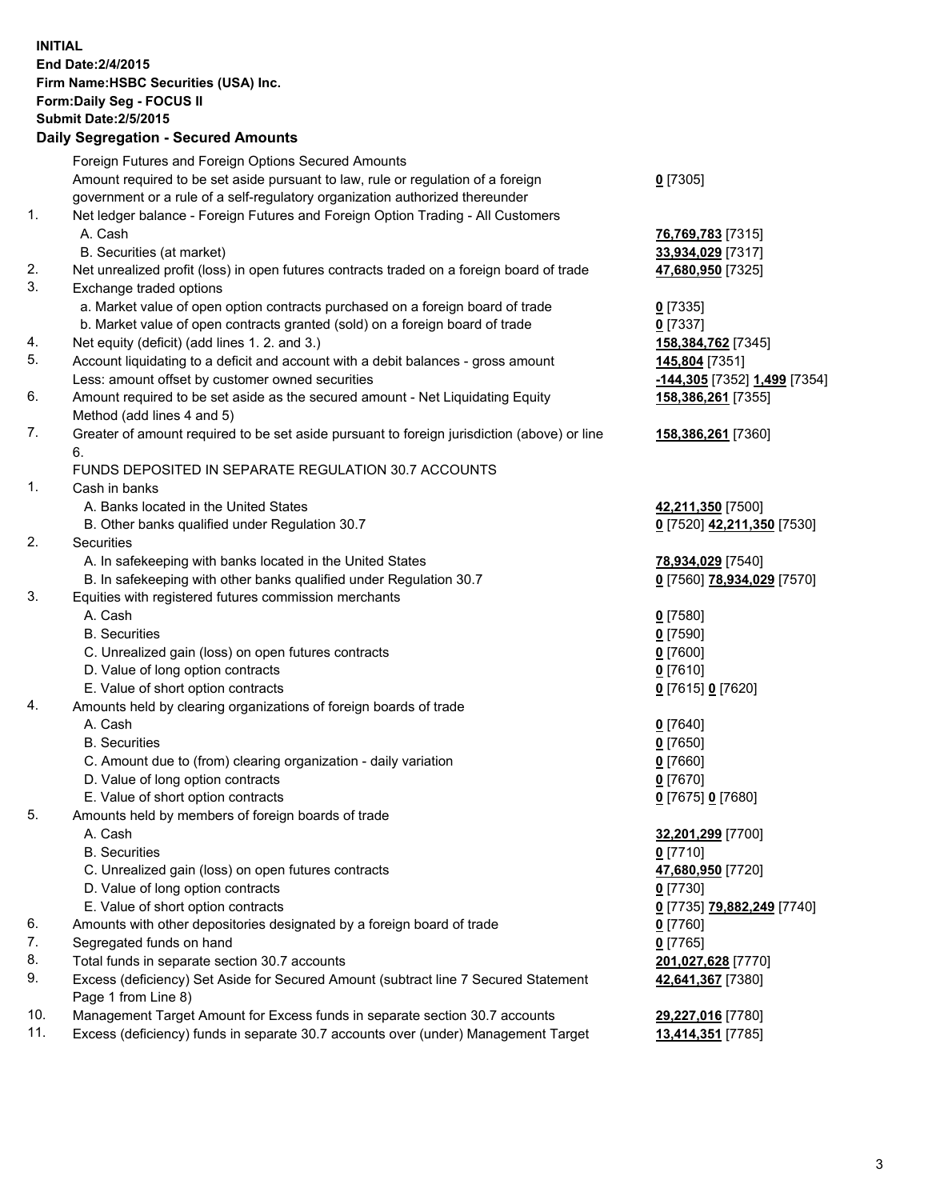**INITIAL End Date:2/4/2015 Firm Name:HSBC Securities (USA) Inc. Form:Daily Seg - FOCUS II Submit Date:2/5/2015 Daily Segregation - Secured Amounts** Foreign Futures and Foreign Options Secured Amounts Amount required to be set aside pursuant to law, rule or regulation of a foreign government or a rule of a self-regulatory organization authorized thereunder **0** [7305] 1. Net ledger balance - Foreign Futures and Foreign Option Trading - All Customers A. Cash **76,769,783** [7315] B. Securities (at market) **33,934,029** [7317] 2. Net unrealized profit (loss) in open futures contracts traded on a foreign board of trade **47,680,950** [7325] 3. Exchange traded options a. Market value of open option contracts purchased on a foreign board of trade **0** [7335] b. Market value of open contracts granted (sold) on a foreign board of trade **0** [7337] 4. Net equity (deficit) (add lines 1. 2. and 3.) **158,384,762** [7345] 5. Account liquidating to a deficit and account with a debit balances - gross amount **145,804** [7351] Less: amount offset by customer owned securities **-144,305** [7352] **1,499** [7354] 6. Amount required to be set aside as the secured amount - Net Liquidating Equity Method (add lines 4 and 5) **158,386,261** [7355] 7. Greater of amount required to be set aside pursuant to foreign jurisdiction (above) or line 6. **158,386,261** [7360] FUNDS DEPOSITED IN SEPARATE REGULATION 30.7 ACCOUNTS 1. Cash in banks A. Banks located in the United States **42,211,350** [7500] B. Other banks qualified under Regulation 30.7 **0** [7520] **42,211,350** [7530] 2. Securities A. In safekeeping with banks located in the United States **78,934,029** [7540] B. In safekeeping with other banks qualified under Regulation 30.7 **0** [7560] **78,934,029** [7570] 3. Equities with registered futures commission merchants A. Cash **0** [7580] B. Securities **0** [7590] C. Unrealized gain (loss) on open futures contracts **0** [7600] D. Value of long option contracts **0** [7610] E. Value of short option contracts **0** [7615] **0** [7620] 4. Amounts held by clearing organizations of foreign boards of trade A. Cash **0** [7640] B. Securities **0** [7650] C. Amount due to (from) clearing organization - daily variation **0** [7660] D. Value of long option contracts **0** [7670] E. Value of short option contracts **0** [7675] **0** [7680] 5. Amounts held by members of foreign boards of trade A. Cash **32,201,299** [7700] B. Securities **0** [7710] C. Unrealized gain (loss) on open futures contracts **47,680,950** [7720] D. Value of long option contracts **0** [7730] E. Value of short option contracts **0** [7735] **79,882,249** [7740] 6. Amounts with other depositories designated by a foreign board of trade **0** [7760] 7. Segregated funds on hand **0** [7765] 8. Total funds in separate section 30.7 accounts **201,027,628** [7770] 9. Excess (deficiency) Set Aside for Secured Amount (subtract line 7 Secured Statement Page 1 from Line 8) **42,641,367** [7380] 10. Management Target Amount for Excess funds in separate section 30.7 accounts **29,227,016** [7780] 11. Excess (deficiency) funds in separate 30.7 accounts over (under) Management Target **13,414,351** [7785]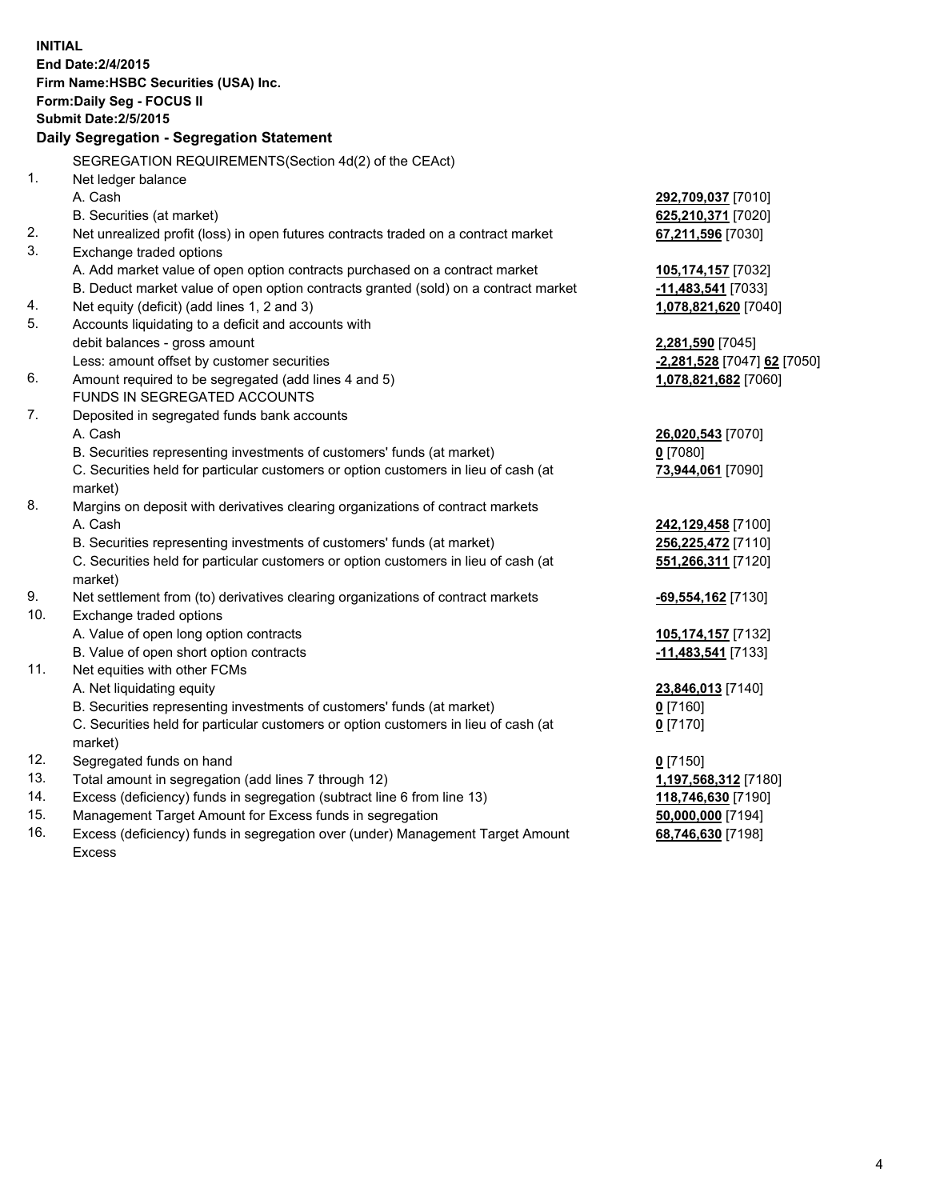| <b>INITIAL</b> | End Date: 2/4/2015<br>Firm Name: HSBC Securities (USA) Inc.<br>Form: Daily Seg - FOCUS II<br><b>Submit Date: 2/5/2015</b><br>Daily Segregation - Segregation Statement |                                          |
|----------------|------------------------------------------------------------------------------------------------------------------------------------------------------------------------|------------------------------------------|
|                | SEGREGATION REQUIREMENTS(Section 4d(2) of the CEAct)                                                                                                                   |                                          |
| 1.             | Net ledger balance<br>A. Cash                                                                                                                                          |                                          |
|                | B. Securities (at market)                                                                                                                                              | 292,709,037 [7010]<br>625,210,371 [7020] |
| 2.             | Net unrealized profit (loss) in open futures contracts traded on a contract market                                                                                     | 67,211,596 [7030]                        |
| 3.             | Exchange traded options                                                                                                                                                |                                          |
|                | A. Add market value of open option contracts purchased on a contract market                                                                                            | 105,174,157 [7032]                       |
|                | B. Deduct market value of open option contracts granted (sold) on a contract market                                                                                    | -11,483,541 [7033]                       |
| 4.             | Net equity (deficit) (add lines 1, 2 and 3)                                                                                                                            | 1,078,821,620 [7040]                     |
| 5.             | Accounts liquidating to a deficit and accounts with                                                                                                                    |                                          |
|                | debit balances - gross amount                                                                                                                                          | 2,281,590 [7045]                         |
|                | Less: amount offset by customer securities                                                                                                                             | -2,281,528 [7047] 62 [7050]              |
| 6.             | Amount required to be segregated (add lines 4 and 5)                                                                                                                   | 1,078,821,682 [7060]                     |
|                | FUNDS IN SEGREGATED ACCOUNTS                                                                                                                                           |                                          |
| 7.             | Deposited in segregated funds bank accounts                                                                                                                            |                                          |
|                | A. Cash                                                                                                                                                                | 26,020,543 [7070]                        |
|                | B. Securities representing investments of customers' funds (at market)                                                                                                 | $0$ [7080]                               |
|                | C. Securities held for particular customers or option customers in lieu of cash (at<br>market)                                                                         | 73,944,061 [7090]                        |
| 8.             | Margins on deposit with derivatives clearing organizations of contract markets                                                                                         |                                          |
|                | A. Cash                                                                                                                                                                | 242,129,458 [7100]                       |
|                | B. Securities representing investments of customers' funds (at market)                                                                                                 | 256,225,472 [7110]                       |
|                | C. Securities held for particular customers or option customers in lieu of cash (at<br>market)                                                                         | 551,266,311 [7120]                       |
| 9.             | Net settlement from (to) derivatives clearing organizations of contract markets                                                                                        | -69,554,162 [7130]                       |
| 10.            | Exchange traded options                                                                                                                                                |                                          |
|                | A. Value of open long option contracts                                                                                                                                 | 105,174,157 [7132]                       |
|                | B. Value of open short option contracts                                                                                                                                | $-11,483,541$ [7133]                     |
| 11.            | Net equities with other FCMs                                                                                                                                           |                                          |
|                | A. Net liquidating equity                                                                                                                                              | 23,846,013 [7140]                        |
|                | B. Securities representing investments of customers' funds (at market)                                                                                                 | $0$ [7160]                               |
|                | C. Securities held for particular customers or option customers in lieu of cash (at<br>market)                                                                         | $0$ [7170]                               |
| 12.            | Segregated funds on hand                                                                                                                                               | $0$ [7150]                               |
| 13.            | Total amount in segregation (add lines 7 through 12)                                                                                                                   | 1,197,568,312 [7180]                     |
| 14.            | Excess (deficiency) funds in segregation (subtract line 6 from line 13)                                                                                                | 118,746,630 [7190]                       |
| 15.            | Management Target Amount for Excess funds in segregation                                                                                                               | 50,000,000 [7194]                        |
| 16.            | Excess (deficiency) funds in segregation over (under) Management Target Amount<br><b>Excess</b>                                                                        | 68,746,630 [7198]                        |